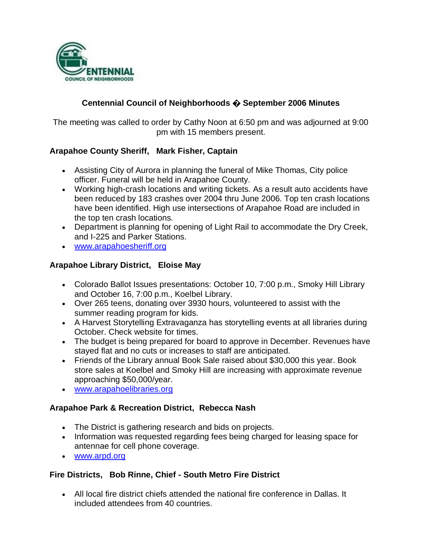

# **Centennial Council of Neighborhoods � September 2006 Minutes**

The meeting was called to order by Cathy Noon at 6:50 pm and was adjourned at 9:00 pm with 15 members present.

# **Arapahoe County Sheriff, Mark Fisher, Captain**

- Assisting City of Aurora in planning the funeral of Mike Thomas, City police officer. Funeral will be held in Arapahoe County.
- Working high-crash locations and writing tickets. As a result auto accidents have been reduced by 183 crashes over 2004 thru June 2006. Top ten crash locations have been identified. High use intersections of Arapahoe Road are included in the top ten crash locations.
- Department is planning for opening of Light Rail to accommodate the Dry Creek, and I-225 and Parker Stations.
- www.arapahoesheriff.org

## **Arapahoe Library District, Eloise May**

- Colorado Ballot Issues presentations: October 10, 7:00 p.m., Smoky Hill Library and October 16, 7:00 p.m., Koelbel Library.
- Over 265 teens, donating over 3930 hours, volunteered to assist with the summer reading program for kids.
- A Harvest Storytelling Extravaganza has storytelling events at all libraries during October. Check website for times.
- The budget is being prepared for board to approve in December. Revenues have stayed flat and no cuts or increases to staff are anticipated.
- Friends of the Library annual Book Sale raised about \$30,000 this year. Book store sales at Koelbel and Smoky Hill are increasing with approximate revenue approaching \$50,000/year.
- www.arapahoelibraries.org

#### **Arapahoe Park & Recreation District, Rebecca Nash**

- The District is gathering research and bids on projects.
- Information was requested regarding fees being charged for leasing space for antennae for cell phone coverage.
- www.arpd.org

# **Fire Districts, Bob Rinne, Chief - South Metro Fire District**

 All local fire district chiefs attended the national fire conference in Dallas. It included attendees from 40 countries.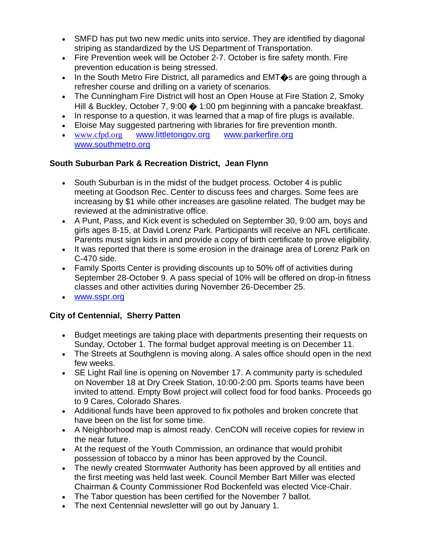- SMFD has put two new medic units into service. They are identified by diagonal striping as standardized by the US Department of Transportation.
- Fire Prevention week will be October 2-7. October is fire safety month. Fire prevention education is being stressed.
- In the South Metro Fire District, all paramedics and  $EMT$  as are going through a refresher course and drilling on a variety of scenarios.
- The Cunningham Fire District will host an Open House at Fire Station 2, Smoky Hill & Buckley, October 7, 9:00  $\bigcirc$  1:00 pm beginning with a pancake breakfast.
- In response to a question, it was learned that a map of fire plugs is available.
- Eloise May suggested partnering with libraries for fire prevention month.
- [www.cfpd.org](http://www.cfpd.org/) [www.littletongov.org](http://www.littletongov.org/) [www.parkerfire.org](http://www.parkerfire.org/)  www.southmetro.org

# **South Suburban Park & Recreation District, Jean Flynn**

- South Suburban is in the midst of the budget process. October 4 is public meeting at Goodson Rec. Center to discuss fees and charges. Some fees are increasing by \$1 while other increases are gasoline related. The budget may be reviewed at the administrative office.
- A Punt, Pass, and Kick event is scheduled on September 30, 9:00 am, boys and girls ages 8-15, at David Lorenz Park. Participants will receive an NFL certificate. Parents must sign kids in and provide a copy of birth certificate to prove eligibility.
- It was reported that there is some erosion in the drainage area of Lorenz Park on C-470 side.
- Family Sports Center is providing discounts up to 50% off of activities during September 28-October 9. A pass special of 10% will be offered on drop-in fitness classes and other activities during November 26-December 25.
- www.sspr.org

# **City of Centennial, Sherry Patten**

- Budget meetings are taking place with departments presenting their requests on Sunday, October 1. The formal budget approval meeting is on December 11.
- The Streets at Southglenn is moving along. A sales office should open in the next few weeks.
- SE Light Rail line is opening on November 17. A community party is scheduled on November 18 at Dry Creek Station, 10:00-2:00 pm. Sports teams have been invited to attend. Empty Bowl project will collect food for food banks. Proceeds go to 9 Cares, Colorado Shares.
- Additional funds have been approved to fix potholes and broken concrete that have been on the list for some time.
- A Neighborhood map is almost ready. CenCON will receive copies for review in the near future.
- At the request of the Youth Commission, an ordinance that would prohibit possession of tobacco by a minor has been approved by the Council.
- The newly created Stormwater Authority has been approved by all entities and the first meeting was held last week. Council Member Bart Miller was elected Chairman & County Commissioner Rod Bockenfeld was elected Vice-Chair.
- The Tabor question has been certified for the November 7 ballot.
- The next Centennial newsletter will go out by January 1.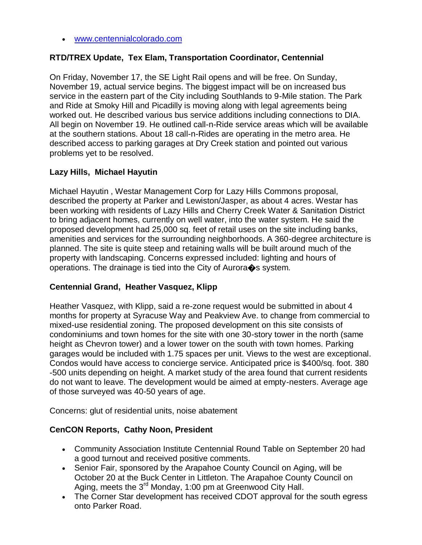www.centennialcolorado.com

## **RTD/TREX Update, Tex Elam, Transportation Coordinator, Centennial**

On Friday, November 17, the SE Light Rail opens and will be free. On Sunday, November 19, actual service begins. The biggest impact will be on increased bus service in the eastern part of the City including Southlands to 9-Mile station. The Park and Ride at Smoky Hill and Picadilly is moving along with legal agreements being worked out. He described various bus service additions including connections to DIA. All begin on November 19. He outlined call-n-Ride service areas which will be available at the southern stations. About 18 call-n-Rides are operating in the metro area. He described access to parking garages at Dry Creek station and pointed out various problems yet to be resolved.

## **Lazy Hills, Michael Hayutin**

Michael Hayutin , Westar Management Corp for Lazy Hills Commons proposal, described the property at Parker and Lewiston/Jasper, as about 4 acres. Westar has been working with residents of Lazy Hills and Cherry Creek Water & Sanitation District to bring adjacent homes, currently on well water, into the water system. He said the proposed development had 25,000 sq. feet of retail uses on the site including banks, amenities and services for the surrounding neighborhoods. A 360-degree architecture is planned. The site is quite steep and retaining walls will be built around much of the property with landscaping. Concerns expressed included: lighting and hours of operations. The drainage is tied into the City of Aurora�s system.

#### **Centennial Grand, Heather Vasquez, Klipp**

Heather Vasquez, with Klipp, said a re-zone request would be submitted in about 4 months for property at Syracuse Way and Peakview Ave. to change from commercial to mixed-use residential zoning. The proposed development on this site consists of condominiums and town homes for the site with one 30-story tower in the north (same height as Chevron tower) and a lower tower on the south with town homes. Parking garages would be included with 1.75 spaces per unit. Views to the west are exceptional. Condos would have access to concierge service. Anticipated price is \$400/sq. foot. 380 -500 units depending on height. A market study of the area found that current residents do not want to leave. The development would be aimed at empty-nesters. Average age of those surveyed was 40-50 years of age.

Concerns: glut of residential units, noise abatement

#### **CenCON Reports, Cathy Noon, President**

- Community Association Institute Centennial Round Table on September 20 had a good turnout and received positive comments.
- Senior Fair, sponsored by the Arapahoe County Council on Aging, will be October 20 at the Buck Center in Littleton. The Arapahoe County Council on Aging, meets the 3<sup>rd</sup> Monday, 1:00 pm at Greenwood City Hall.
- The Corner Star development has received CDOT approval for the south egress onto Parker Road.